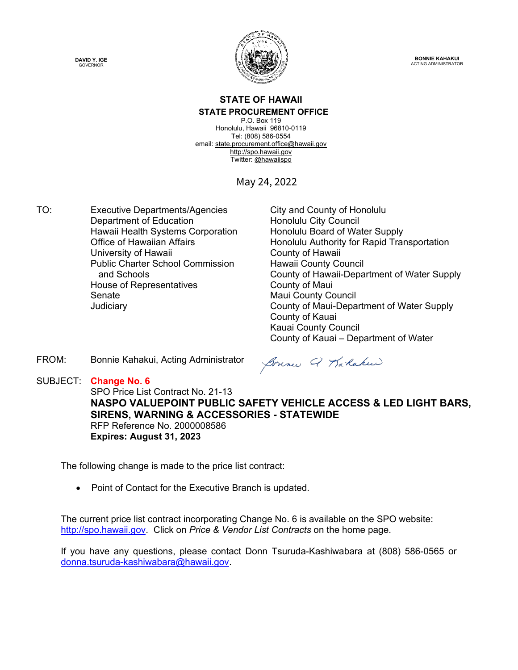



**BONNIE KAHAKUI** ACTING ADMINISTRATOR

### **STATE OF HAWAII STATE PROCUREMENT OFFICE**

P.O. Box 119 Honolulu, Hawaii 96810-0119 Tel: (808) 586-0554 email[: state.procurement.office@hawaii.gov](mailto:state.procurement.office@hawaii.gov) [http://spo.hawaii.gov](http://spo.hawaii.gov/) Twitter: [@hawaiispo](https://twitter.com/hawaiispo)

May 24, 2022

TO: Executive Departments/Agencies City and County of Honolulu Department of Education **Honolulu City Council** Hawaii Health Systems Corporation Honolulu Board of Water Supply University of Hawaii **County of Hawaii** County of Hawaii Public Charter School Commission and Schools House of Representatives **County of Maui** Senate Maui County Council

Office of Hawaiian Affairs **Honolulu Authority for Rapid Transportation** Hawaii County Council County of Hawaii-Department of Water Supply Judiciary County of Maui-Department of Water Supply County of Kauai Kauai County Council County of Kauai – Department of Water

FROM: Bonnie Kahakui, Acting Administrator

SUBJECT: **Change No. 6**

Sonne Q Karlakee

SPO Price List Contract No. 21-13 **NASPO VALUEPOINT PUBLIC SAFETY VEHICLE ACCESS & LED LIGHT BARS, SIRENS, WARNING & ACCESSORIES - STATEWIDE** RFP Reference No. 2000008586 **Expires: August 31, 2023**

The following change is made to the price list contract:

• Point of Contact for the Executive Branch is updated.

The current price list contract incorporating Change No. 6 is available on the SPO website: [http://spo.hawaii.gov.](http://spo.hawaii.gov/) Click on *Price & Vendor List Contracts* on the home page.

If you have any questions, please contact Donn Tsuruda-Kashiwabara at (808) 586-0565 or [donna.tsuruda-kashiwabara@hawaii.gov.](mailto:donna.tsuruda-kashiwabara@hawaii.gov)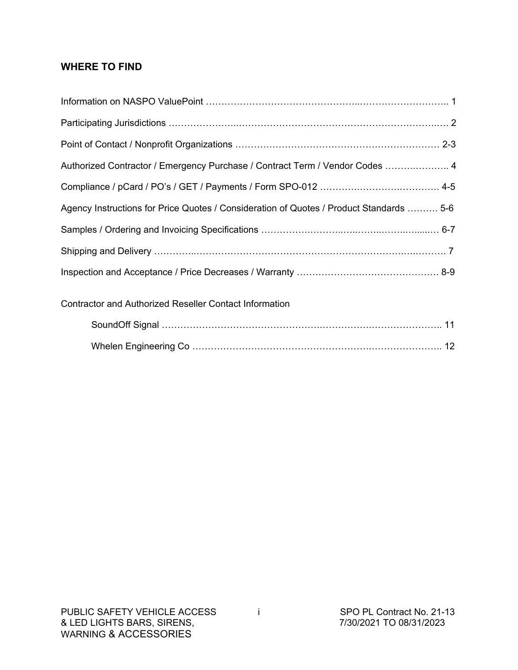### **WHERE TO FIND**

| Authorized Contractor / Emergency Purchase / Contract Term / Vendor Codes  4            |
|-----------------------------------------------------------------------------------------|
|                                                                                         |
| Agency Instructions for Price Quotes / Consideration of Quotes / Product Standards  5-6 |
|                                                                                         |
|                                                                                         |
|                                                                                         |
| <b>Contractor and Authorized Reseller Contact Information</b>                           |
|                                                                                         |
|                                                                                         |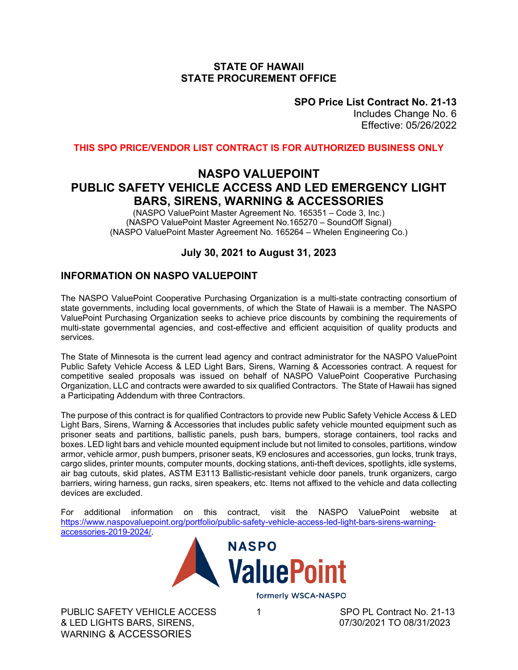### **STATE OF HAWAII STATE PROCUREMENT OFFICE**

**SPO Price List Contract No. 21-13**

Includes Change No. 6 Effective: 05/26/2022

**THIS SPO PRICE/VENDOR LIST CONTRACT IS FOR AUTHORIZED BUSINESS ONLY**

### **NASPO VALUEPOINT PUBLIC SAFETY VEHICLE ACCESS AND LED EMERGENCY LIGHT BARS, SIRENS, WARNING & ACCESSORIES**

(NASPO ValuePoint Master Agreement No. 165351 – Code 3, Inc.) (NASPO ValuePoint Master Agreement No.165270 – SoundOff Signal) (NASPO ValuePoint Master Agreement No. 165264 – Whelen Engineering Co.)

### **July 30, 2021 to August 31, 2023**

### **INFORMATION ON NASPO VALUEPOINT**

The NASPO ValuePoint Cooperative Purchasing Organization is a multi-state contracting consortium of state governments, including local governments, of which the State of Hawaii is a member. The NASPO ValuePoint Purchasing Organization seeks to achieve price discounts by combining the requirements of multi-state governmental agencies, and cost-effective and efficient acquisition of quality products and services.

The State of Minnesota is the current lead agency and contract administrator for the NASPO ValuePoint Public Safety Vehicle Access & LED Light Bars, Sirens, Warning & Accessories contract. A request for competitive sealed proposals was issued on behalf of NASPO ValuePoint Cooperative Purchasing Organization, LLC and contracts were awarded to six qualified Contractors. The State of Hawaii has signed a Participating Addendum with three Contractors.

The purpose of this contract is for qualified Contractors to provide new Public Safety Vehicle Access & LED Light Bars, Sirens, Warning & Accessories that includes public safety vehicle mounted equipment such as prisoner seats and partitions, ballistic panels, push bars, bumpers, storage containers, tool racks and boxes. LED light bars and vehicle mounted equipment include but not limited to consoles, partitions, window armor, vehicle armor, push bumpers, prisoner seats, K9 enclosures and accessories, gun locks, trunk trays, cargo slides, printer mounts, computer mounts, docking stations, anti-theft devices, spotlights, idle systems, air bag cutouts, skid plates, ASTM E3113 Ballistic-resistant vehicle door panels, trunk organizers, cargo barriers, wiring harness, gun racks, siren speakers, etc. Items not affixed to the vehicle and data collecting devices are excluded.

For additional information on this contract, visit the NASPO ValuePoint website at [https://www.naspovaluepoint.org/portfolio/public-safety-vehicle-access-led-light-bars-sirens-warning](https://www.naspovaluepoint.org/portfolio/public-safety-vehicle-access-led-light-bars-sirens-warning-accessories-2019-2024/)[accessories-2019-2024/.](https://www.naspovaluepoint.org/portfolio/public-safety-vehicle-access-led-light-bars-sirens-warning-accessories-2019-2024/)



PUBLIC SAFETY VEHICLE ACCESS 1<br>
& LED LIGHTS BARS. SIRENS.<br>
07/30/2021 TO 08/31/2023 & LED LIGHTS BARS, SIRENS, WARNING & ACCESSORIES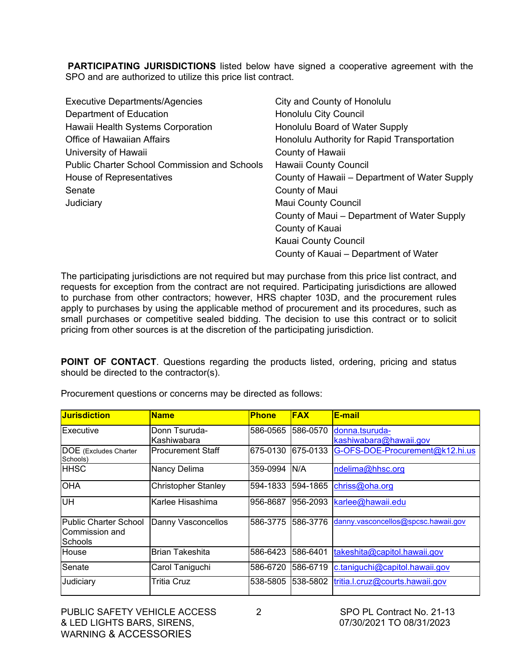**PARTICIPATING JURISDICTIONS** listed below have signed a cooperative agreement with the SPO and are authorized to utilize this price list contract.

| <b>Executive Departments/Agencies</b>               | City and County of Honolulu                   |
|-----------------------------------------------------|-----------------------------------------------|
| Department of Education                             | <b>Honolulu City Council</b>                  |
| Hawaii Health Systems Corporation                   | Honolulu Board of Water Supply                |
| <b>Office of Hawaiian Affairs</b>                   | Honolulu Authority for Rapid Transportation   |
| University of Hawaii                                | County of Hawaii                              |
| <b>Public Charter School Commission and Schools</b> | <b>Hawaii County Council</b>                  |
| House of Representatives                            | County of Hawaii – Department of Water Supply |
| Senate                                              | County of Maui                                |
| Judiciary                                           | <b>Maui County Council</b>                    |
|                                                     | County of Maui – Department of Water Supply   |
|                                                     | County of Kauai                               |
|                                                     | Kauai County Council                          |
|                                                     | County of Kauai – Department of Water         |

The participating jurisdictions are not required but may purchase from this price list contract, and requests for exception from the contract are not required. Participating jurisdictions are allowed to purchase from other contractors; however, HRS chapter 103D, and the procurement rules apply to purchases by using the applicable method of procurement and its procedures, such as small purchases or competitive sealed bidding. The decision to use this contract or to solicit pricing from other sources is at the discretion of the participating jurisdiction.

**POINT OF CONTACT**. Questions regarding the products listed, ordering, pricing and status should be directed to the contractor(s).

| <b>Jurisdiction</b>                                       | <b>Name</b>                  | <b>Phone</b> | <b>FAX</b> | E-mail                                   |
|-----------------------------------------------------------|------------------------------|--------------|------------|------------------------------------------|
| Executive                                                 | Donn Tsuruda-<br>Kashiwabara | 586-0565     | 586-0570   | donna.tsuruda-<br>kashiwabara@hawaii.gov |
| <b>DOE</b> (Excludes Charter<br>Schools)                  | lProcurement Staff           | 675-0130     | 675-0133   | G-OFS-DOE-Procurement@k12.hi.us          |
| <b>HHSC</b>                                               | Nancy Delima                 | 359-0994     | N/A        | ndelima@hhsc.org                         |
| <b>OHA</b>                                                | Christopher Stanley          | 594-1833     | 594-1865   | chriss@oha.org                           |
| <b>UH</b>                                                 | Karlee Hisashima             | 956-8687     | 1956-2093  | karlee@hawaii.edu                        |
| <b>Public Charter School</b><br>Commission and<br>Schools | Danny Vasconcellos           | 586-3775     | 1586-3776  | danny.vasconcellos@spcsc.hawaii.gov      |
| House                                                     | <b>Brian Takeshita</b>       | 586-6423     | 1586-6401  | takeshita@capitol.hawaii.gov             |
| Senate                                                    | Carol Taniguchi              | 586-6720     | 586-6719   | c.taniguchi@capitol.hawaii.gov           |
| Judiciary                                                 | Tritia Cruz                  | 538-5805     | 1538-5802  | tritia.l.cruz@courts.hawaii.gov          |

Procurement questions or concerns may be directed as follows: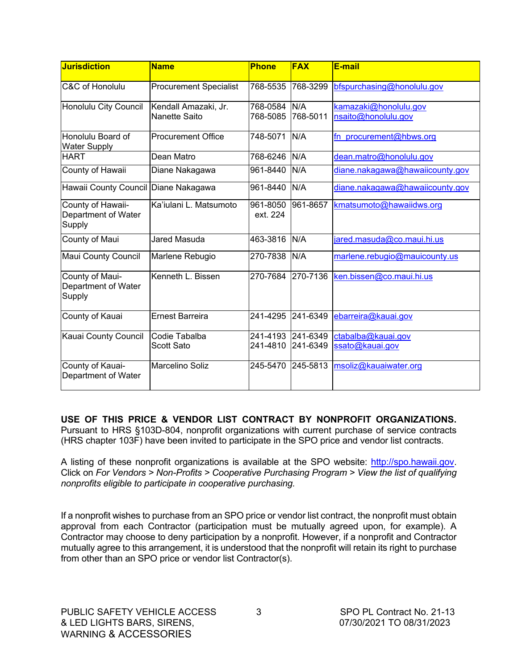| <b>Jurisdiction</b>                                | <b>Name</b>                           | <b>Phone</b>             | <b>FAX</b>                    | E-mail                                       |
|----------------------------------------------------|---------------------------------------|--------------------------|-------------------------------|----------------------------------------------|
| C&C of Honolulu                                    | <b>Procurement Specialist</b>         | 768-5535                 | 768-3299                      | bfspurchasing@honolulu.gov                   |
| Honolulu City Council                              | Kendall Amazaki, Jr.<br>Nanette Saito | 768-0584 N/A<br>768-5085 | 768-5011                      | kamazaki@honolulu.gov<br>nsaito@honolulu.gov |
| Honolulu Board of<br><b>Water Supply</b>           | <b>Procurement Office</b>             | 748-5071                 | N/A                           | fn_procurement@hbws.org                      |
| <b>HART</b>                                        | Dean Matro                            | 768-6246                 | N/A                           | dean.matro@honolulu.gov                      |
| County of Hawaii                                   | Diane Nakagawa                        | 961-8440                 | N/A                           | diane.nakagawa@hawaiicounty.gov              |
| Hawaii County Council Diane Nakagawa               |                                       | 961-8440                 | N/A                           | diane.nakagawa@hawaiicounty.gov              |
| County of Hawaii-<br>Department of Water<br>Supply | Ka'iulani L. Matsumoto                | 961-8050<br>ext. 224     | 961-8657                      | kmatsumoto@hawaiidws.org                     |
| County of Maui                                     | Jared Masuda                          | 463-3816                 | N/A                           | jared.masuda@co.maui.hi.us                   |
| Maui County Council                                | Marlene Rebugio                       | 270-7838                 | N/A                           | marlene.rebugio@mauicounty.us                |
| County of Maui-<br>Department of Water<br>Supply   | Kenneth L. Bissen                     | 270-7684                 | 270-7136                      | ken.bissen@co.maui.hi.us                     |
| County of Kauai                                    | <b>Ernest Barreira</b>                | 241-4295                 | 241-6349                      | ebarreira@kauai.gov                          |
| Kauai County Council                               | Codie Tabalba<br>Scott Sato           | 241-4810                 | 241-4193 241-6349<br>241-6349 | ctabalba@kauai.gov<br>ssato@kauai.gov        |
| County of Kauai-<br>Department of Water            | <b>Marcelino Soliz</b>                | 245-5470                 | 245-5813                      | msoliz@kauaiwater.org                        |

**USE OF THIS PRICE & VENDOR LIST CONTRACT BY NONPROFIT ORGANIZATIONS.** Pursuant to HRS §103D-804, nonprofit organizations with current purchase of service contracts (HRS chapter 103F) have been invited to participate in the SPO price and vendor list contracts.

A listing of these nonprofit organizations is available at the SPO website: [http://spo.hawaii.gov.](http://spo.hawaii.gov/) Click on *For Vendors > Non-Profits > Cooperative Purchasing Program > View the list of qualifying nonprofits eligible to participate in cooperative purchasing.*

If a nonprofit wishes to purchase from an SPO price or vendor list contract, the nonprofit must obtain approval from each Contractor (participation must be mutually agreed upon, for example). A Contractor may choose to deny participation by a nonprofit. However, if a nonprofit and Contractor mutually agree to this arrangement, it is understood that the nonprofit will retain its right to purchase from other than an SPO price or vendor list Contractor(s).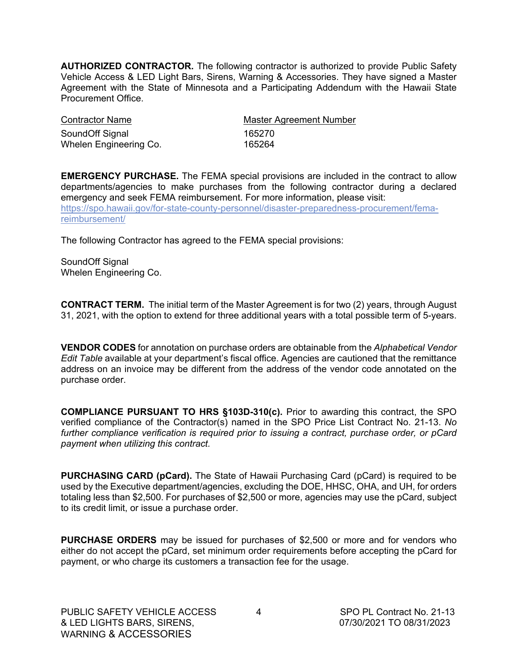**AUTHORIZED CONTRACTOR.** The following contractor is authorized to provide Public Safety Vehicle Access & LED Light Bars, Sirens, Warning & Accessories. They have signed a Master Agreement with the State of Minnesota and a Participating Addendum with the Hawaii State Procurement Office.

| <b>Contractor Name</b> | <b>Master Agreement Number</b> |
|------------------------|--------------------------------|
| SoundOff Signal        | 165270                         |
| Whelen Engineering Co. | 165264                         |

**EMERGENCY PURCHASE.** The FEMA special provisions are included in the contract to allow departments/agencies to make purchases from the following contractor during a declared emergency and seek FEMA reimbursement. For more information, please visit: [https://spo.hawaii.gov/for-state-county-personnel/disaster-preparedness-procurement/fema](https://spo.hawaii.gov/for-state-county-personnel/disaster-preparedness-procurement/fema-reimbursement/)[reimbursement/](https://spo.hawaii.gov/for-state-county-personnel/disaster-preparedness-procurement/fema-reimbursement/)

The following Contractor has agreed to the FEMA special provisions:

SoundOff Signal Whelen Engineering Co.

**CONTRACT TERM.** The initial term of the Master Agreement is for two (2) years, through August 31, 2021, with the option to extend for three additional years with a total possible term of 5-years.

**VENDOR CODES** for annotation on purchase orders are obtainable from the *Alphabetical Vendor Edit Table* available at your department's fiscal office. Agencies are cautioned that the remittance address on an invoice may be different from the address of the vendor code annotated on the purchase order.

**COMPLIANCE PURSUANT TO HRS §103D-310(c).** Prior to awarding this contract, the SPO verified compliance of the Contractor(s) named in the SPO Price List Contract No. 21-13. *No further compliance verification is required prior to issuing a contract, purchase order, or pCard payment when utilizing this contract.*

**PURCHASING CARD (pCard).** The State of Hawaii Purchasing Card (pCard) is required to be used by the Executive department/agencies, excluding the DOE, HHSC, OHA, and UH, for orders totaling less than \$2,500. For purchases of \$2,500 or more, agencies may use the pCard, subject to its credit limit, or issue a purchase order.

**PURCHASE ORDERS** may be issued for purchases of \$2,500 or more and for vendors who either do not accept the pCard, set minimum order requirements before accepting the pCard for payment, or who charge its customers a transaction fee for the usage.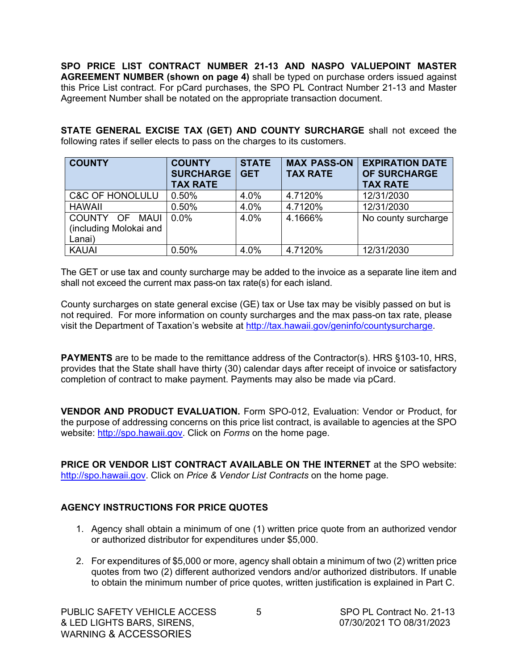**SPO PRICE LIST CONTRACT NUMBER 21-13 AND NASPO VALUEPOINT MASTER AGREEMENT NUMBER (shown on page 4)** shall be typed on purchase orders issued against this Price List contract. For pCard purchases, the SPO PL Contract Number 21-13 and Master Agreement Number shall be notated on the appropriate transaction document.

**STATE GENERAL EXCISE TAX (GET) AND COUNTY SURCHARGE** shall not exceed the following rates if seller elects to pass on the charges to its customers.

| <b>COUNTY</b>              | <b>COUNTY</b><br><b>SURCHARGE</b><br><b>TAX RATE</b> | <b>STATE</b><br><b>GET</b> | <b>MAX PASS-ON</b><br><b>TAX RATE</b> | <b>EXPIRATION DATE</b><br><b>OF SURCHARGE</b><br><b>TAX RATE</b> |
|----------------------------|------------------------------------------------------|----------------------------|---------------------------------------|------------------------------------------------------------------|
| <b>C&amp;C OF HONOLULU</b> | 0.50%                                                | 4.0%                       | 4.7120%                               | 12/31/2030                                                       |
| <b>HAWAII</b>              | 0.50%                                                | 4.0%                       | 4.7120%                               | 12/31/2030                                                       |
| COUNTY OF<br>MAUI          | 0.0%                                                 | 4.0%                       | 4.1666%                               | No county surcharge                                              |
| (including Molokai and     |                                                      |                            |                                       |                                                                  |
| Lanai)                     |                                                      |                            |                                       |                                                                  |
| <b>KAUAI</b>               | 0.50%                                                | 4.0%                       | 4.7120%                               | 12/31/2030                                                       |

The GET or use tax and county surcharge may be added to the invoice as a separate line item and shall not exceed the current max pass-on tax rate(s) for each island.

County surcharges on state general excise (GE) tax or Use tax may be visibly passed on but is not required. For more information on county surcharges and the max pass-on tax rate, please visit the Department of Taxation's website at [http://tax.hawaii.gov/geninfo/countysurcharge.](http://tax.hawaii.gov/geninfo/countysurcharge)

**PAYMENTS** are to be made to the remittance address of the Contractor(s). HRS §103-10, HRS, provides that the State shall have thirty (30) calendar days after receipt of invoice or satisfactory completion of contract to make payment. Payments may also be made via pCard.

**VENDOR AND PRODUCT EVALUATION.** Form SPO-012, Evaluation: Vendor or Product, for the purpose of addressing concerns on this price list contract, is available to agencies at the SPO website: [http://spo.hawaii.gov.](http://spo.hawaii.gov/) Click on *Forms* on the home page.

**PRICE OR VENDOR LIST CONTRACT AVAILABLE ON THE INTERNET** at the SPO website: [http://spo.hawaii.gov.](http://spo.hawaii.gov/) Click on *Price & Vendor List Contracts* on the home page.

### **AGENCY INSTRUCTIONS FOR PRICE QUOTES**

- 1. Agency shall obtain a minimum of one (1) written price quote from an authorized vendor or authorized distributor for expenditures under \$5,000.
- 2. For expenditures of \$5,000 or more, agency shall obtain a minimum of two (2) written price quotes from two (2) different authorized vendors and/or authorized distributors. If unable to obtain the minimum number of price quotes, written justification is explained in Part C.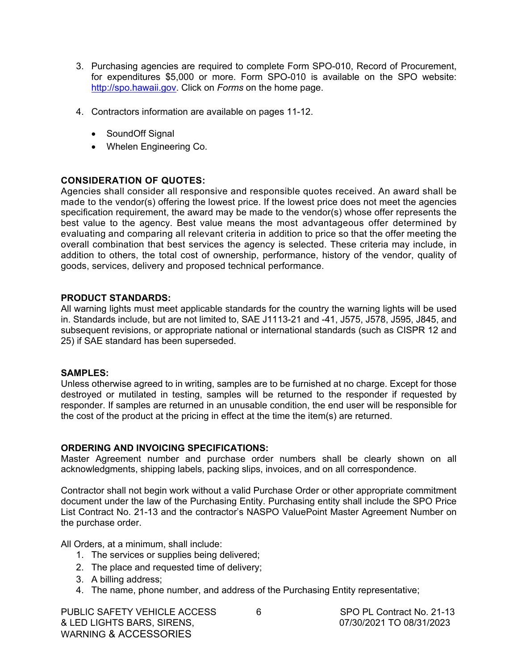- 3. Purchasing agencies are required to complete Form SPO-010, Record of Procurement, for expenditures \$5,000 or more. Form SPO-010 is available on the SPO website: [http://spo.hawaii.gov.](http://spo.hawaii.gov/) Click on *Forms* on the home page.
- 4. Contractors information are available on pages 11-12.
	- SoundOff Signal
	- Whelen Engineering Co.

### **CONSIDERATION OF QUOTES:**

Agencies shall consider all responsive and responsible quotes received. An award shall be made to the vendor(s) offering the lowest price. If the lowest price does not meet the agencies specification requirement, the award may be made to the vendor(s) whose offer represents the best value to the agency. Best value means the most advantageous offer determined by evaluating and comparing all relevant criteria in addition to price so that the offer meeting the overall combination that best services the agency is selected. These criteria may include, in addition to others, the total cost of ownership, performance, history of the vendor, quality of goods, services, delivery and proposed technical performance.

### **PRODUCT STANDARDS:**

All warning lights must meet applicable standards for the country the warning lights will be used in. Standards include, but are not limited to, SAE J1113-21 and -41, J575, J578, J595, J845, and subsequent revisions, or appropriate national or international standards (such as CISPR 12 and 25) if SAE standard has been superseded.

### **SAMPLES:**

Unless otherwise agreed to in writing, samples are to be furnished at no charge. Except for those destroyed or mutilated in testing, samples will be returned to the responder if requested by responder. If samples are returned in an unusable condition, the end user will be responsible for the cost of the product at the pricing in effect at the time the item(s) are returned.

### **ORDERING AND INVOICING SPECIFICATIONS:**

Master Agreement number and purchase order numbers shall be clearly shown on all acknowledgments, shipping labels, packing slips, invoices, and on all correspondence.

Contractor shall not begin work without a valid Purchase Order or other appropriate commitment document under the law of the Purchasing Entity. Purchasing entity shall include the SPO Price List Contract No. 21-13 and the contractor's NASPO ValuePoint Master Agreement Number on the purchase order.

All Orders, at a minimum, shall include:

- 1. The services or supplies being delivered;
- 2. The place and requested time of delivery;
- 3. A billing address;
- 4. The name, phone number, and address of the Purchasing Entity representative;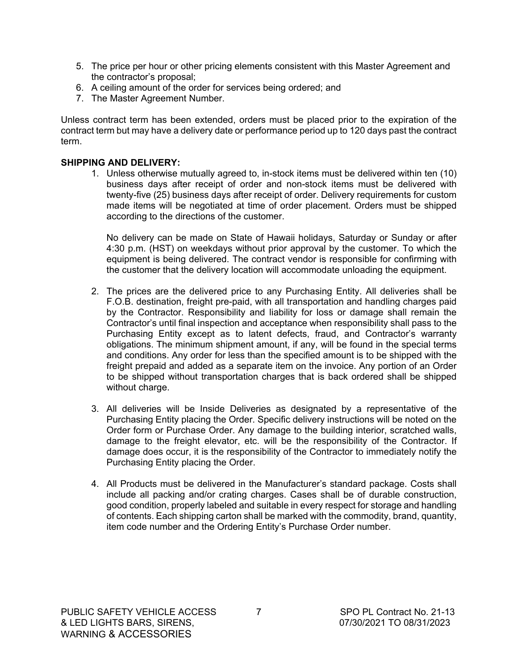- 5. The price per hour or other pricing elements consistent with this Master Agreement and the contractor's proposal;
- 6. A ceiling amount of the order for services being ordered; and
- 7. The Master Agreement Number.

Unless contract term has been extended, orders must be placed prior to the expiration of the contract term but may have a delivery date or performance period up to 120 days past the contract term.

### **SHIPPING AND DELIVERY:**

1. Unless otherwise mutually agreed to, in-stock items must be delivered within ten (10) business days after receipt of order and non-stock items must be delivered with twenty-five (25) business days after receipt of order. Delivery requirements for custom made items will be negotiated at time of order placement. Orders must be shipped according to the directions of the customer.

No delivery can be made on State of Hawaii holidays, Saturday or Sunday or after 4:30 p.m. (HST) on weekdays without prior approval by the customer. To which the equipment is being delivered. The contract vendor is responsible for confirming with the customer that the delivery location will accommodate unloading the equipment.

- 2. The prices are the delivered price to any Purchasing Entity. All deliveries shall be F.O.B. destination, freight pre-paid, with all transportation and handling charges paid by the Contractor. Responsibility and liability for loss or damage shall remain the Contractor's until final inspection and acceptance when responsibility shall pass to the Purchasing Entity except as to latent defects, fraud, and Contractor's warranty obligations. The minimum shipment amount, if any, will be found in the special terms and conditions. Any order for less than the specified amount is to be shipped with the freight prepaid and added as a separate item on the invoice. Any portion of an Order to be shipped without transportation charges that is back ordered shall be shipped without charge.
- 3. All deliveries will be Inside Deliveries as designated by a representative of the Purchasing Entity placing the Order. Specific delivery instructions will be noted on the Order form or Purchase Order. Any damage to the building interior, scratched walls, damage to the freight elevator, etc. will be the responsibility of the Contractor. If damage does occur, it is the responsibility of the Contractor to immediately notify the Purchasing Entity placing the Order.
- 4. All Products must be delivered in the Manufacturer's standard package. Costs shall include all packing and/or crating charges. Cases shall be of durable construction, good condition, properly labeled and suitable in every respect for storage and handling of contents. Each shipping carton shall be marked with the commodity, brand, quantity, item code number and the Ordering Entity's Purchase Order number.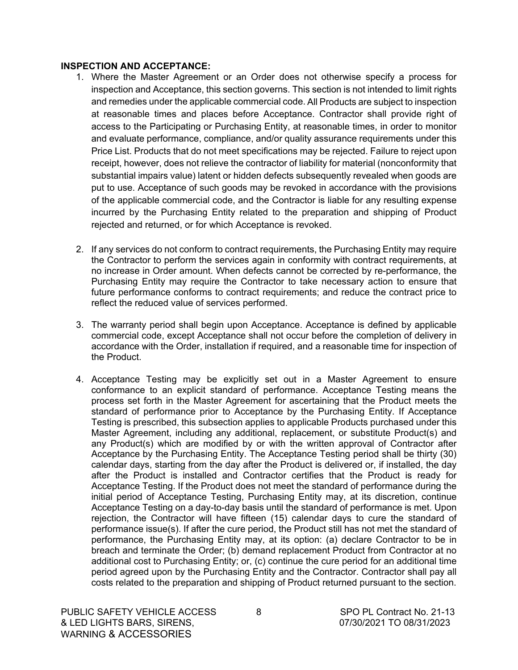#### **INSPECTION AND ACCEPTANCE:**

- 1. Where the Master Agreement or an Order does not otherwise specify a process for inspection and Acceptance, this section governs. This section is not intended to limit rights and remedies under the applicable commercial code. All Products are subject to inspection at reasonable times and places before Acceptance. Contractor shall provide right of access to the Participating or Purchasing Entity, at reasonable times, in order to monitor and evaluate performance, compliance, and/or quality assurance requirements under this Price List. Products that do not meet specifications may be rejected. Failure to reject upon receipt, however, does not relieve the contractor of liability for material (nonconformity that substantial impairs value) latent or hidden defects subsequently revealed when goods are put to use. Acceptance of such goods may be revoked in accordance with the provisions of the applicable commercial code, and the Contractor is liable for any resulting expense incurred by the Purchasing Entity related to the preparation and shipping of Product rejected and returned, or for which Acceptance is revoked.
- 2. If any services do not conform to contract requirements, the Purchasing Entity may require the Contractor to perform the services again in conformity with contract requirements, at no increase in Order amount. When defects cannot be corrected by re-performance, the Purchasing Entity may require the Contractor to take necessary action to ensure that future performance conforms to contract requirements; and reduce the contract price to reflect the reduced value of services performed.
- 3. The warranty period shall begin upon Acceptance. Acceptance is defined by applicable commercial code, except Acceptance shall not occur before the completion of delivery in accordance with the Order, installation if required, and a reasonable time for inspection of the Product.
- 4. Acceptance Testing may be explicitly set out in a Master Agreement to ensure conformance to an explicit standard of performance. Acceptance Testing means the process set forth in the Master Agreement for ascertaining that the Product meets the standard of performance prior to Acceptance by the Purchasing Entity. If Acceptance Testing is prescribed, this subsection applies to applicable Products purchased under this Master Agreement, including any additional, replacement, or substitute Product(s) and any Product(s) which are modified by or with the written approval of Contractor after Acceptance by the Purchasing Entity. The Acceptance Testing period shall be thirty (30) calendar days, starting from the day after the Product is delivered or, if installed, the day after the Product is installed and Contractor certifies that the Product is ready for Acceptance Testing. If the Product does not meet the standard of performance during the initial period of Acceptance Testing, Purchasing Entity may, at its discretion, continue Acceptance Testing on a day-to-day basis until the standard of performance is met. Upon rejection, the Contractor will have fifteen (15) calendar days to cure the standard of performance issue(s). If after the cure period, the Product still has not met the standard of performance, the Purchasing Entity may, at its option: (a) declare Contractor to be in breach and terminate the Order; (b) demand replacement Product from Contractor at no additional cost to Purchasing Entity; or, (c) continue the cure period for an additional time period agreed upon by the Purchasing Entity and the Contractor. Contractor shall pay all costs related to the preparation and shipping of Product returned pursuant to the section.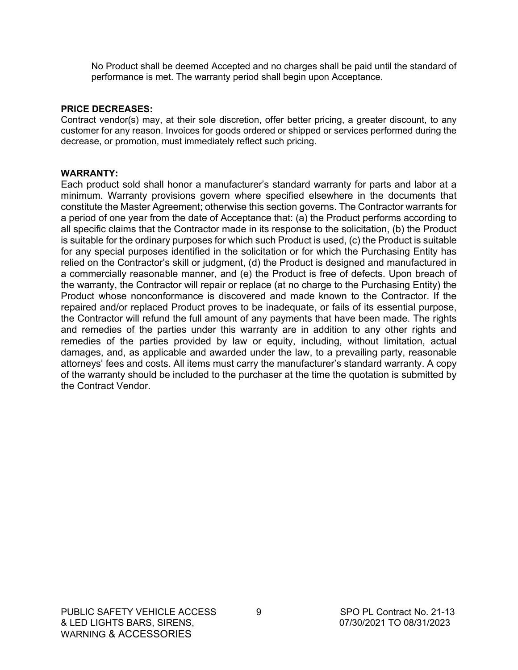No Product shall be deemed Accepted and no charges shall be paid until the standard of performance is met. The warranty period shall begin upon Acceptance.

#### **PRICE DECREASES:**

Contract vendor(s) may, at their sole discretion, offer better pricing, a greater discount, to any customer for any reason. Invoices for goods ordered or shipped or services performed during the decrease, or promotion, must immediately reflect such pricing.

#### **WARRANTY:**

Each product sold shall honor a manufacturer's standard warranty for parts and labor at a minimum. Warranty provisions govern where specified elsewhere in the documents that constitute the Master Agreement; otherwise this section governs. The Contractor warrants for a period of one year from the date of Acceptance that: (a) the Product performs according to all specific claims that the Contractor made in its response to the solicitation, (b) the Product is suitable for the ordinary purposes for which such Product is used, (c) the Product is suitable for any special purposes identified in the solicitation or for which the Purchasing Entity has relied on the Contractor's skill or judgment, (d) the Product is designed and manufactured in a commercially reasonable manner, and (e) the Product is free of defects. Upon breach of the warranty, the Contractor will repair or replace (at no charge to the Purchasing Entity) the Product whose nonconformance is discovered and made known to the Contractor. If the repaired and/or replaced Product proves to be inadequate, or fails of its essential purpose, the Contractor will refund the full amount of any payments that have been made. The rights and remedies of the parties under this warranty are in addition to any other rights and remedies of the parties provided by law or equity, including, without limitation, actual damages, and, as applicable and awarded under the law, to a prevailing party, reasonable attorneys' fees and costs. All items must carry the manufacturer's standard warranty. A copy of the warranty should be included to the purchaser at the time the quotation is submitted by the Contract Vendor.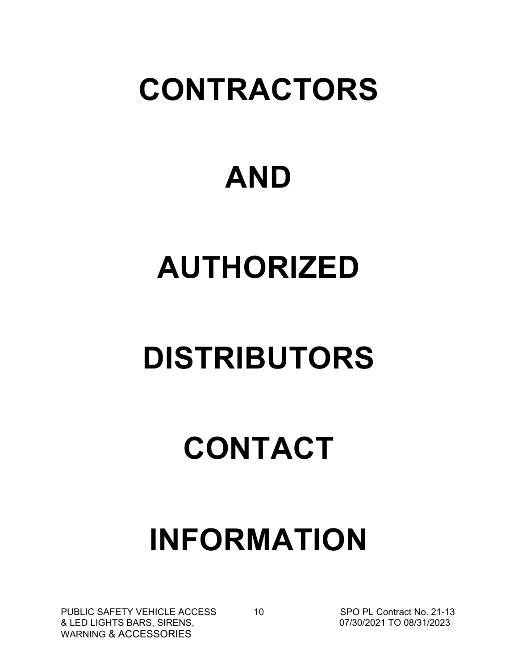## **CONTRACTORS**

### **AND**

# **AUTHORIZED**

# **DISTRIBUTORS**

# **CONTACT**

### **INFORMATION**

PUBLIC SAFETY VEHICLE ACCESS 10<br>
& LED LIGHTS BARS, SIRENS, **National Access 10 SPO PL Contract No. 21-13** & LED LIGHTS BARS, SIRENS, WARNING & ACCESSORIES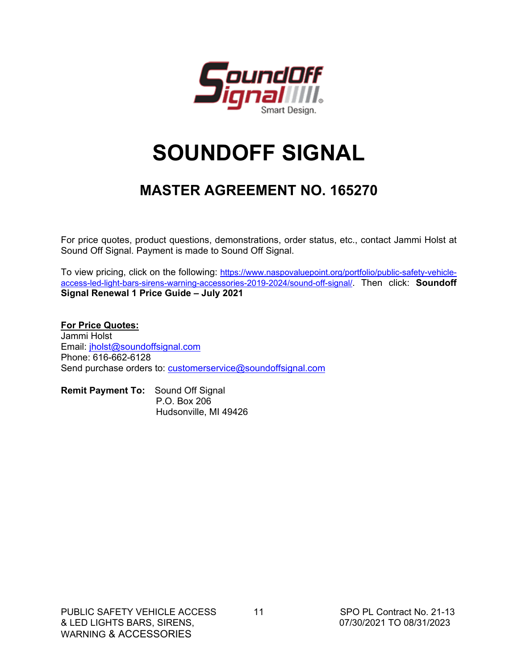

### **SOUNDOFF SIGNAL**

### **MASTER AGREEMENT NO. 165270**

For price quotes, product questions, demonstrations, order status, etc., contact Jammi Holst at Sound Off Signal. Payment is made to Sound Off Signal.

To view pricing, click on the following: [https://www.naspovaluepoint.org/portfolio/public-safety-vehicle](https://www.naspovaluepoint.org/portfolio/public-safety-vehicle-access-led-light-bars-sirens-warning-accessories-2019-2024/sound-off-signal/)[access-led-light-bars-sirens-warning-accessories-2019-2024/sound-off-signal/.](https://www.naspovaluepoint.org/portfolio/public-safety-vehicle-access-led-light-bars-sirens-warning-accessories-2019-2024/sound-off-signal/) Then click: **Soundoff [S](https://s3-us-west-2.amazonaws.com/naspovaluepoint/1570557526_Copy%20of%202019%20Price%20Guide.xls)ignal Renewal 1 Price Guide – July 2021**

**For Price Quotes:** Jammi Holst Email: [jholst@soundoffsignal.com](mailto:jholst@soundoffsignal.com) Phone: 616-662-6128 Send purchase orders to: [customerservice@soundoffsignal.com](mailto:customerservice@soundoffsignal.com)

| <b>Remit Payment To:</b> Sound Off Signal |                       |  |
|-------------------------------------------|-----------------------|--|
|                                           | P.O. Box 206          |  |
|                                           | Hudsonville, MI 49426 |  |